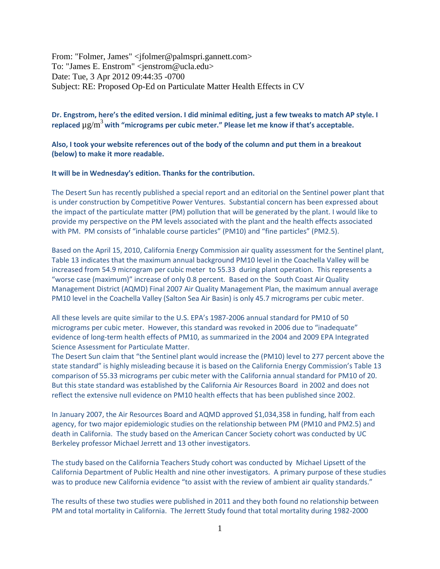From: "Folmer, James" <jfolmer@palmspri.gannett.com> To: "James E. Enstrom" <jenstrom@ucla.edu> Date: Tue, 3 Apr 2012 09:44:35 -0700 Subject: RE: Proposed Op-Ed on Particulate Matter Health Effects in CV

## **Dr. Engstrom, here's the edited version. I did minimal editing, just a few tweaks to match AP style. I replaced** µg/m<sup>3</sup>**with "micrograms per cubic meter." Please let me know if that's acceptable.**

**Also, I took your website references out of the body of the column and put them in a breakout (below) to make it more readable.**

## **It will be in Wednesday's edition. Thanks for the contribution.**

The Desert Sun has recently published a special report and an editorial on the Sentinel power plant that is under construction by Competitive Power Ventures. Substantial concern has been expressed about the impact of the particulate matter (PM) pollution that will be generated by the plant. I would like to provide my perspective on the PM levels associated with the plant and the health effects associated with PM. PM consists of "inhalable course particles" (PM10) and "fine particles" (PM2.5).

Based on the April 15, 2010, California Energy Commission air quality assessment for the Sentinel plant, Table 13 indicates that the maximum annual background PM10 level in the Coachella Valley will be increased from 54.9 microgram per cubic meter to 55.33 during plant operation. This represents a "worse case (maximum)" increase of only 0.8 percent. Based on the South Coast Air Quality Management District (AQMD) Final 2007 Air Quality Management Plan, the maximum annual average PM10 level in the Coachella Valley (Salton Sea Air Basin) is only 45.7 micrograms per cubic meter.

All these levels are quite similar to the U.S. EPA's 1987-2006 annual standard for PM10 of 50 micrograms per cubic meter. However, this standard was revoked in 2006 due to "inadequate" evidence of long-term health effects of PM10, as summarized in the 2004 and 2009 EPA Integrated Science Assessment for Particulate Matter.

The Desert Sun claim that "the Sentinel plant would increase the (PM10) level to 277 percent above the state standard" is highly misleading because it is based on the California Energy Commission's Table 13 comparison of 55.33 micrograms per cubic meter with the California annual standard for PM10 of 20. But this state standard was established by the California Air Resources Board in 2002 and does not reflect the extensive null evidence on PM10 health effects that has been published since 2002.

In January 2007, the Air Resources Board and AQMD approved \$1,034,358 in funding, half from each agency, for two major epidemiologic studies on the relationship between PM (PM10 and PM2.5) and death in California. The study based on the American Cancer Society cohort was conducted by UC Berkeley professor Michael Jerrett and 13 other investigators.

The study based on the California Teachers Study cohort was conducted by Michael Lipsett of the California Department of Public Health and nine other investigators. A primary purpose of these studies was to produce new California evidence "to assist with the review of ambient air quality standards."

The results of these two studies were published in 2011 and they both found no relationship between PM and total mortality in California. The Jerrett Study found that total mortality during 1982-2000